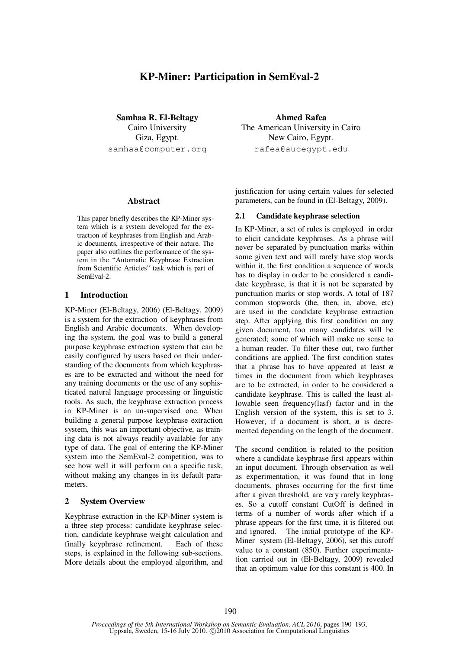# **KP-Miner: Participation in SemEval-2**

**Samhaa R. El-Beltagy**  Cairo University Giza, Egypt. samhaa@computer.org

#### **Abstract**

This paper briefly describes the KP-Miner system which is a system developed for the extraction of keyphrases from English and Arabic documents, irrespective of their nature. The paper also outlines the performance of the system in the "Automatic Keyphrase Extraction from Scientific Articles" task which is part of SemEval-2.

#### **1 Introduction**

KP-Miner (El-Beltagy, 2006) (El-Beltagy, 2009) is a system for the extraction of keyphrases from English and Arabic documents. When developing the system, the goal was to build a general purpose keyphrase extraction system that can be easily configured by users based on their understanding of the documents from which keyphrases are to be extracted and without the need for any training documents or the use of any sophisticated natural language processing or linguistic tools. As such, the keyphrase extraction process in KP-Miner is an un-supervised one. When building a general purpose keyphrase extraction system, this was an important objective, as training data is not always readily available for any type of data. The goal of entering the KP-Miner system into the SemEval-2 competition, was to see how well it will perform on a specific task, without making any changes in its default parameters.

#### **2 System Overview**

Keyphrase extraction in the KP-Miner system is a three step process: candidate keyphrase selection, candidate keyphrase weight calculation and finally keyphrase refinement. Each of these steps, is explained in the following sub-sections. More details about the employed algorithm, and

**Ahmed Rafea**  The American University in Cairo New Cairo, Egypt. rafea@aucegypt.edu

justification for using certain values for selected parameters, can be found in (El-Beltagy, 2009).

#### **2.1 Candidate keyphrase selection**

In KP-Miner, a set of rules is employed in order to elicit candidate keyphrases. As a phrase will never be separated by punctuation marks within some given text and will rarely have stop words within it, the first condition a sequence of words has to display in order to be considered a candidate keyphrase, is that it is not be separated by punctuation marks or stop words. A total of 187 common stopwords (the, then, in, above, etc) are used in the candidate keyphrase extraction step. After applying this first condition on any given document, too many candidates will be generated; some of which will make no sense to a human reader. To filter these out, two further conditions are applied. The first condition states that a phrase has to have appeared at least *n* times in the document from which keyphrases are to be extracted, in order to be considered a candidate keyphrase. This is called the least allowable seen frequency(lasf) factor and in the English version of the system, this is set to 3. However, if a document is short, *n* is decremented depending on the length of the document.

The second condition is related to the position where a candidate keyphrase first appears within an input document. Through observation as well as experimentation, it was found that in long documents, phrases occurring for the first time after a given threshold, are very rarely keyphrases. So a cutoff constant CutOff is defined in terms of a number of words after which if a phrase appears for the first time, it is filtered out and ignored. The initial prototype of the KP-Miner system (El-Beltagy, 2006), set this cutoff value to a constant (850). Further experimentation carried out in (El-Beltagy, 2009) revealed that an optimum value for this constant is 400. In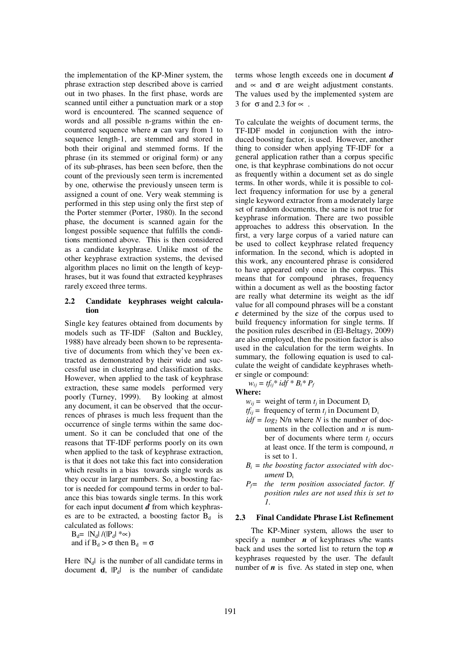the implementation of the KP-Miner system, the phrase extraction step described above is carried out in two phases. In the first phase, words are scanned until either a punctuation mark or a stop word is encountered. The scanned sequence of words and all possible n-grams within the encountered sequence where *n* can vary from 1 to sequence length-1, are stemmed and stored in both their original and stemmed forms. If the phrase (in its stemmed or original form) or any of its sub-phrases, has been seen before, then the count of the previously seen term is incremented by one, otherwise the previously unseen term is assigned a count of one. Very weak stemming is performed in this step using only the first step of the Porter stemmer (Porter, 1980). In the second phase, the document is scanned again for the longest possible sequence that fulfills the conditions mentioned above. This is then considered as a candidate keyphrase. Unlike most of the other keyphrase extraction systems, the devised algorithm places no limit on the length of keyphrases, but it was found that extracted keyphrases rarely exceed three terms.

### **2.2 Candidate keyphrases weight calculation**

Single key features obtained from documents by models such as TF-IDF (Salton and Buckley, 1988) have already been shown to be representative of documents from which they've been extracted as demonstrated by their wide and successful use in clustering and classification tasks. However, when applied to the task of keyphrase extraction, these same models performed very poorly (Turney, 1999). By looking at almost any document, it can be observed that the occurrences of phrases is much less frequent than the occurrence of single terms within the same document. So it can be concluded that one of the reasons that TF-IDF performs poorly on its own when applied to the task of keyphrase extraction, is that it does not take this fact into consideration which results in a bias towards single words as they occur in larger numbers. So, a boosting factor is needed for compound terms in order to balance this bias towards single terms. In this work for each input document *d* from which keyphrases are to be extracted, a boosting factor  $B_d$  is calculated as follows:

 $B_d=|N_d|/(|P_d| * \infty)$ 

and if  $B_d > \sigma$  then  $B_d = \sigma$ 

Here  $|N_d|$  is the number of all candidate terms in document  $\mathbf{d}$ ,  $|P_d|$  is the number of candidate terms whose length exceeds one in document *d* and  $\propto$  and  $\sigma$  are weight adjustment constants. The values used by the implemented system are 3 for  $\sigma$  and 2.3 for  $\propto$ .

To calculate the weights of document terms, the TF-IDF model in conjunction with the introduced boosting factor, is used. However, another thing to consider when applying TF-IDF for a general application rather than a corpus specific one, is that keyphrase combinations do not occur as frequently within a document set as do single terms. In other words, while it is possible to collect frequency information for use by a general single keyword extractor from a moderately large set of random documents, the same is not true for keyphrase information. There are two possible approaches to address this observation. In the first, a very large corpus of a varied nature can be used to collect keyphrase related frequency information. In the second, which is adopted in this work, any encountered phrase is considered to have appeared only once in the corpus. This means that for compound phrases, frequency within a document as well as the boosting factor are really what determine its weight as the idf value for all compound phrases will be a constant *c* determined by the size of the corpus used to build frequency information for single terms. If the position rules described in (El-Beltagy, 2009) are also employed, then the position factor is also used in the calculation for the term weights. In summary, the following equation is used to calculate the weight of candidate keyphrases whether single or compound:

 $w_{ij} = tf_{ij} * idf * B_i * P_f$ **Where:** 

$$
w_{ij}
$$
 = weight of term  $t_j$  in Document D<sub>i</sub>

 $tf_{ij}$  = frequency of term  $t_j$  in Document D<sub>i</sub>

- $idf = log_2$  N/n where *N* is the number of documents in the collection and *n* is number of documents where term  $t_i$  occurs at least once. If the term is compound, *n* is set to 1.
- $B_i$  = the boosting factor associated with doc*ument* D<sup>i</sup>
- *Pf= the term position associated factor. If position rules are not used this is set to 1.*

## **2.3 Final Candidate Phrase List Refinement**

The KP-Miner system, allows the user to specify a number  $n$  of keyphrases s/he wants back and uses the sorted list to return the top *n* keyphrases requested by the user. The default number of  $\boldsymbol{n}$  is five. As stated in step one, when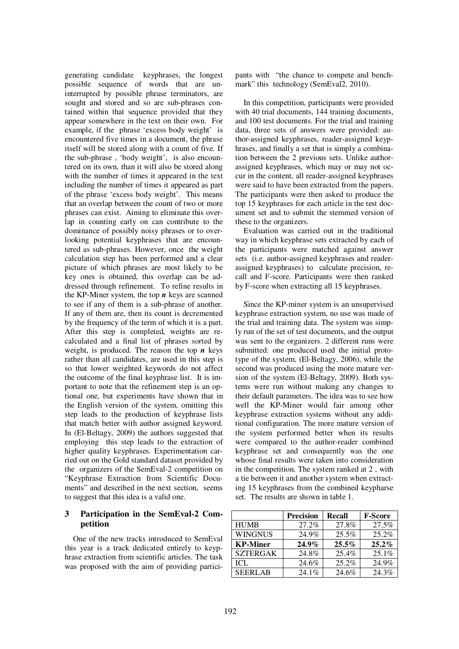generating candidate keyphrases, the longest possible sequence of words that are uninterrupted by possible phrase terminators, are sought and stored and so are sub-phrases contained within that sequence provided that they appear somewhere in the text on their own. For example, if the phrase 'excess body weight' is encountered five times in a document, the phrase itself will be stored along with a count of five. If the sub-phrase , 'body weight', is also encountered on its own, than it will also be stored along with the number of times it appeared in the text including the number of times it appeared as part of the phrase 'excess body weight'. This means that an overlap between the count of two or more phrases can exist. Aiming to eliminate this overlap in counting early on can contribute to the dominance of possibly noisy phrases or to overlooking potential keyphrases that are encountered as sub-phrases. However, once the weight calculation step has been performed and a clear picture of which phrases are most likely to be key ones is obtained, this overlap can be addressed through refinement. To refine results in the KP-Miner system, the top  $n$  keys are scanned to see if any of them is a sub-phrase of another. If any of them are, then its count is decremented by the frequency of the term of which it is a part. After this step is completed, weights are recalculated and a final list of phrases sorted by weight, is produced. The reason the top  $n$  keys rather than all candidates, are used in this step is so that lower weighted keywords do not affect the outcome of the final keyphrase list. It is important to note that the refinement step is an optional one, but experiments have shown that in the English version of the system, omitting this step leads to the production of keyphrase lists that match better with author assigned keyword. In (El-Beltagy, 2009) the authors suggested that employing this step leads to the extraction of higher quality keyphrases. Experimentation carried out on the Gold standard dataset provided by the organizers of the SemEval-2 competition on "Keyphrase Extraction from Scientific Documents" and described in the next section, seems to suggest that this idea is a valid one.

# **3 Participation in the SemEval-2 Competition**

One of the new tracks introduced to SemEval this year is a track dedicated entirely to keyphrase extraction from scientific articles. The task was proposed with the aim of providing participants with "the chance to compete and benchmark" this technology (SemEval2, 2010).

In this competition, participants were provided with 40 trial documents, 144 training documents, and 100 test documents. For the trial and training data, three sets of answers were provided: author-assigned keyphrases, reader-assigned keyphrases, and finally a set that is simply a combination between the 2 previous sets. Unlike authorassigned keyphrases, which may or may not occur in the content, all reader-assigned keyphrases were said to have been extracted from the papers. The participants were then asked to produce the top 15 keyphrases for each article in the test document set and to submit the stemmed version of these to the organizers.

Evaluation was carried out in the traditional way in which keyphrase sets extracted by each of the participants were matched against answer sets (i.e. author-assigned keyphrases and readerassigned keyphrases) to calculate precision, recall and F-score. Participants were then ranked by F-score when extracting all 15 keyphrases.

Since the KP-miner system is an unsupervised keyphrase extraction system, no use was made of the trial and training data. The system was simply run of the set of test documents, and the output was sent to the organizers. 2 different runs were submitted: one produced used the initial prototype of the system, (El-Beltagy, 2006), while the second was produced using the more mature version of the system (El-Beltagy, 2009). Both systems were run without making any changes to their default parameters. The idea was to see how well the KP-Miner would fair among other keyphrase extraction systems without any additional configuration. The more mature version of the system performed better when its results were compared to the author-reader combined keyphrase set and consequently was the one whose final results were taken into consideration in the competition. The system ranked at 2 , with a tie between it and another system when extracting 15 keyphrases from the combined keypharse set. The results are shown in table 1.

|                 | <b>Precision</b> | Recall   | <b>F-Score</b> |
|-----------------|------------------|----------|----------------|
| <b>HUMB</b>     | 27.2%            | 27.8%    | 27.5%          |
| <b>WINGNUS</b>  | 24.9%            | 25.5%    | 25.2%          |
| <b>KP-Miner</b> | $24.9\%$         | $25.5\%$ | $25.2\%$       |
| <b>SZTERGAK</b> | 24.8%            | 25.4%    | 25.1%          |
| ICL             | 24.6%            | 25.2%    | 24.9%          |
| <b>SEERLAB</b>  | 24.1%            | 24.6%    | 24.3%          |